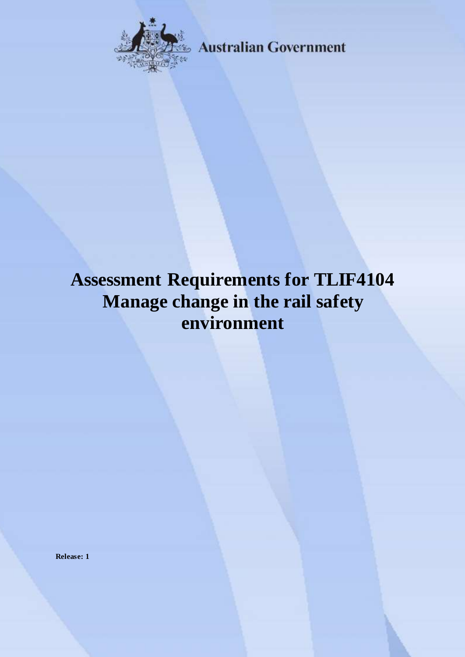

**Australian Government** 

# **Assessment Requirements for TLIF4104 Manage change in the rail safety environment**

**Release: 1**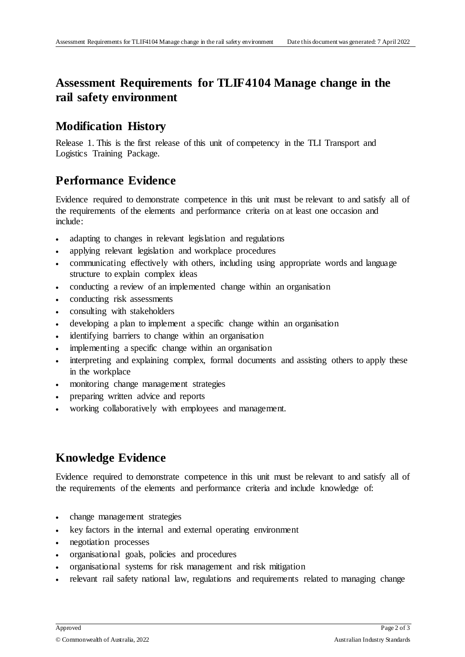## **Assessment Requirements for TLIF4104 Manage change in the rail safety environment**

#### **Modification History**

Release 1. This is the first release of this unit of competency in the TLI Transport and Logistics Training Package.

### **Performance Evidence**

Evidence required to demonstrate competence in this unit must be relevant to and satisfy all of the requirements of the elements and performance criteria on at least one occasion and include:

- adapting to changes in relevant legislation and regulations
- applying relevant legislation and workplace procedures
- communicating effectively with others, including using appropriate words and language structure to explain complex ideas
- conducting a review of an implemented change within an organisation
- conducting risk assessments
- consulting with stakeholders
- developing a plan to implement a specific change within an organisation
- identifying barriers to change within an organisation
- implementing a specific change within an organisation
- interpreting and explaining complex, formal documents and assisting others to apply these in the workplace
- monitoring change management strategies
- preparing written advice and reports
- working collaboratively with employees and management.

## **Knowledge Evidence**

Evidence required to demonstrate competence in this unit must be relevant to and satisfy all of the requirements of the elements and performance criteria and include knowledge of:

- change management strategies
- key factors in the internal and external operating environment
- negotiation processes
- organisational goals, policies and procedures
- organisational systems for risk management and risk mitigation
- relevant rail safety national law, regulations and requirements related to managing change